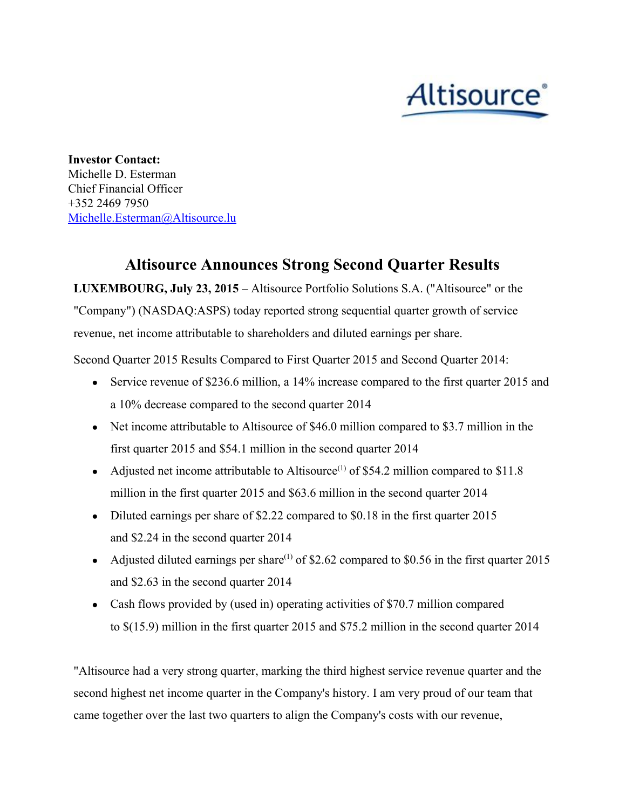# Altisource<sup>®</sup>

**Investor Contact:** Michelle D. Esterman Chief Financial Officer +352 2469 7950 [Michelle.Esterman@Altisource.lu](mailto:Michelle.Esterman@Altisource.lu)

# **Altisource Announces Strong Second Quarter Results**

**LUXEMBOURG, July 23, 2015**– Altisource Portfolio Solutions S.A. ("Altisource" or the "Company") (NASDAQ:ASPS) today reported strong sequential quarter growth of service revenue, net income attributable to shareholders and diluted earnings per share.

Second Quarter 2015 Results Compared to First Quarter 2015 and Second Quarter 2014:

- Service revenue of \$236.6 million, a 14% increase compared to the first quarter 2015 and a 10% decrease compared to the second quarter 2014
- Net income attributable to Altisource of \$46.0 million compared to \$3.7 million in the first quarter 2015 and \$54.1 million in the second quarter 2014
- Adjusted net income attributable to Altisource<sup>(1)</sup> of \$54.2 million compared to \$11.8 million in the first quarter 2015 and \$63.6 million in the second quarter 2014
- Diluted earnings per share of \$2.22 compared to \$0.18 in the first quarter 2015 and \$2.24 in the second quarter 2014
- Adjusted diluted earnings per share<sup>(1)</sup> of \$2.62 compared to \$0.56 in the first quarter 2015 and \$2.63 in the second quarter 2014
- Cash flows provided by (used in) operating activities of \$70.7 million compared to \$(15.9) million in the first quarter 2015 and \$75.2 million in the second quarter 2014

"Altisource had a very strong quarter, marking the third highest service revenue quarter and the second highest net income quarter in the Company's history. I am very proud of our team that came together over the last two quarters to align the Company's costs with our revenue,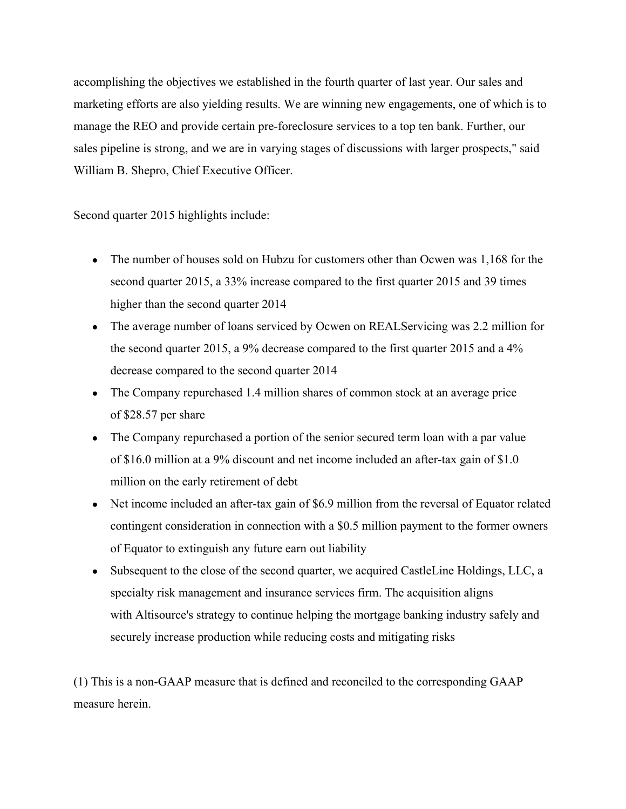accomplishing the objectives we established in the fourth quarter of last year. Our sales and marketing efforts are also yielding results. We are winning new engagements, one of which is to manage the REO and provide certain pre-foreclosure services to a top ten bank. Further, our sales pipeline is strong, and we are in varying stages of discussions with larger prospects," said William B. Shepro, Chief Executive Officer.

Second quarter 2015 highlights include:

- The number of houses sold on Hubzu for customers other than Ocwen was 1,168 for the second quarter 2015, a 33% increase compared to the first quarter 2015 and 39 times higher than the second quarter 2014
- The average number of loans serviced by Ocwen on REALServicing was 2.2 million for the second quarter 2015, a 9% decrease compared to the first quarter 2015 and a 4% decrease compared to the second quarter 2014
- The Company repurchased 1.4 million shares of common stock at an average price of \$28.57 per share
- The Company repurchased a portion of the senior secured term loan with a par value of \$16.0 million at a 9% discount and net income included an after-tax gain of \$1.0 million on the early retirement of debt
- Net income included an after-tax gain of \$6.9 million from the reversal of Equator related contingent consideration in connection with a \$0.5 million payment to the former owners of Equator to extinguish any future earn out liability
- Subsequent to the close of the second quarter, we acquired CastleLine Holdings, LLC, a specialty risk management and insurance services firm. The acquisition aligns with Altisource's strategy to continue helping the mortgage banking industry safely and securely increase production while reducing costs and mitigating risks

(1) This is a nonGAAP measure that is defined and reconciled to the corresponding GAAP measure herein.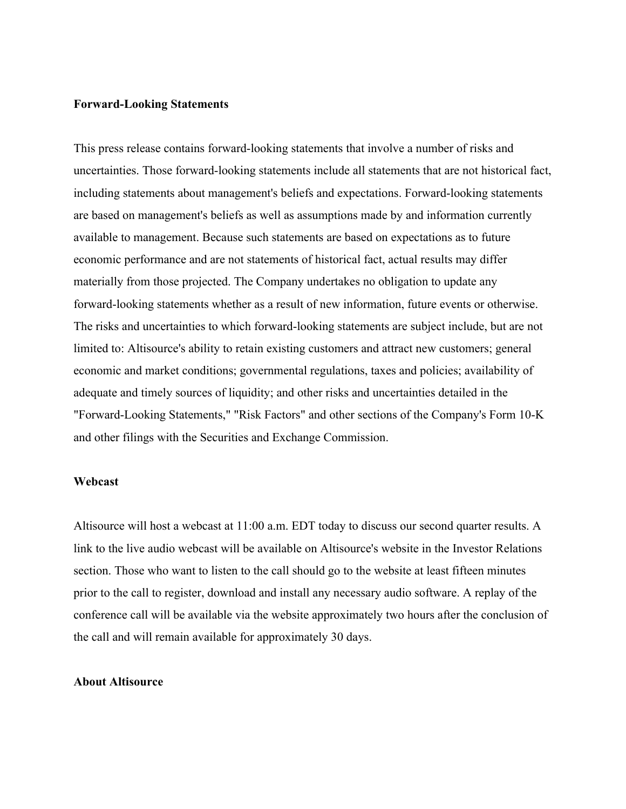# **Forward-Looking Statements**

This press release contains forward-looking statements that involve a number of risks and uncertainties. Those forward-looking statements include all statements that are not historical fact, including statements about management's beliefs and expectations. Forward-looking statements are based on management's beliefs as well as assumptions made by and information currently available to management. Because such statements are based on expectations as to future economic performance and are not statements of historical fact, actual results may differ materially from those projected. The Company undertakes no obligation to update any forward-looking statements whether as a result of new information, future events or otherwise. The risks and uncertainties to which forward-looking statements are subject include, but are not limited to: Altisource's ability to retain existing customers and attract new customers; general economic and market conditions; governmental regulations, taxes and policies; availability of adequate and timely sources of liquidity; and other risks and uncertainties detailed in the "Forward-Looking Statements," "Risk Factors" and other sections of the Company's Form 10-K and other filings with the Securities and Exchange Commission.

## **Webcast**

Altisource will host a webcast at 11:00 a.m. EDT today to discuss our second quarter results. A link to the live audio webcast will be available on Altisource's website in the Investor Relations section. Those who want to listen to the call should go to the website at least fifteen minutes prior to the call to register, download and install any necessary audio software. A replay of the conference call will be available via the website approximately two hours after the conclusion of the call and will remain available for approximately 30 days.

# **About Altisource**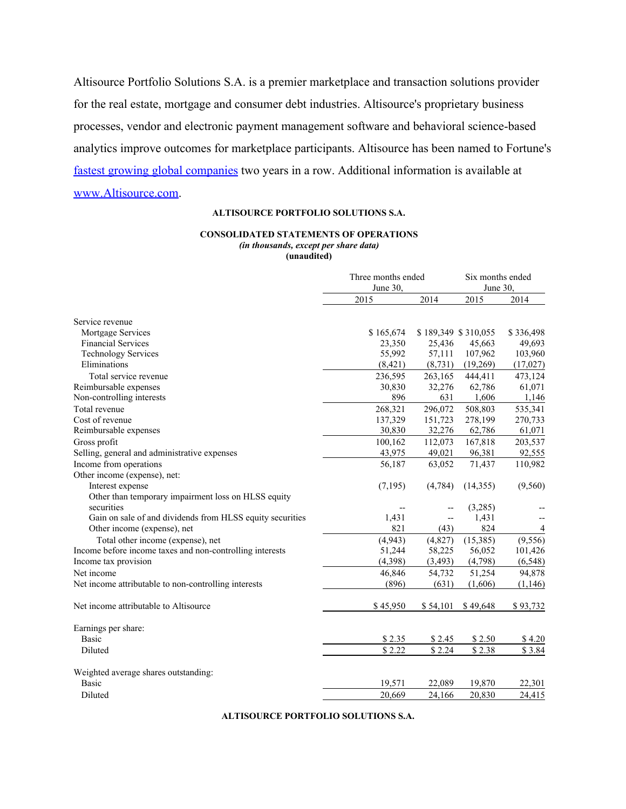Altisource Portfolio Solutions S.A. is a premier marketplace and transaction solutions provider for the real estate, mortgage and consumer debt industries. Altisource's proprietary business processes, vendor and electronic payment management software and behavioral science-based analytics improve outcomes for marketplace participants. Altisource has been named to Fortune's fastest growing global [companies](http://www.globenewswire.com/newsroom/ctr?d=10128421&l=4&a=fastest%20growing%20global%20companies&u=http%3A%2F%2Ffortune.com%2F100-fastest-growing-companies%2Faltisource-portfolio-solutions-26%2F) two years in a row. Additional information is available at [www.Altisource.com.](http://www.altisource.com/)

### **ALTISOURCE PORTFOLIO SOLUTIONS S.A.**

#### **CONSOLIDATED STATEMENTS OF OPERATIONS** *(in thousands, except per share data)* **(unaudited)**

|                                                           | Three months ended |                     | Six months ended |           |
|-----------------------------------------------------------|--------------------|---------------------|------------------|-----------|
|                                                           | June 30.           |                     | June 30,         |           |
|                                                           | 2015               | 2014                | 2015             | 2014      |
| Service revenue                                           |                    |                     |                  |           |
| Mortgage Services                                         | \$165,674          | \$189,349 \$310,055 |                  | \$336,498 |
| <b>Financial Services</b>                                 | 23,350             | 25,436              | 45,663           | 49,693    |
| <b>Technology Services</b>                                | 55,992             | 57,111              | 107,962          | 103,960   |
| Eliminations                                              | (8, 421)           | (8, 731)            | (19,269)         | (17,027)  |
| Total service revenue                                     | 236,595            | 263,165             | 444,411          | 473,124   |
| Reimbursable expenses                                     | 30,830             | 32,276              | 62,786           | 61,071    |
| Non-controlling interests                                 | 896                | 631                 | 1,606            | 1,146     |
| Total revenue                                             | 268,321            | 296,072             | 508,803          | 535,341   |
| Cost of revenue                                           | 137,329            | 151,723             | 278,199          | 270,733   |
| Reimbursable expenses                                     | 30,830             | 32,276              | 62,786           | 61,071    |
| Gross profit                                              | 100,162            | 112,073             | 167,818          | 203,537   |
| Selling, general and administrative expenses              | 43,975             | 49,021              | 96,381           | 92,555    |
| Income from operations                                    | 56,187             | 63,052              | 71,437           | 110,982   |
| Other income (expense), net:                              |                    |                     |                  |           |
| Interest expense                                          | (7,195)            | (4,784)             | (14,355)         | (9,560)   |
| Other than temporary impairment loss on HLSS equity       |                    |                     |                  |           |
| securities                                                |                    |                     | (3,285)          |           |
| Gain on sale of and dividends from HLSS equity securities | 1,431              |                     | 1,431            |           |
| Other income (expense), net                               | 821                | (43)                | 824              | 4         |
| Total other income (expense), net                         | (4,943)            | (4,827)             | (15, 385)        | (9,556)   |
| Income before income taxes and non-controlling interests  | 51,244             | 58,225              | 56,052           | 101,426   |
| Income tax provision                                      | (4,398)            | (3, 493)            | (4,798)          | (6, 548)  |
| Net income                                                | 46,846             | 54,732              | 51,254           | 94,878    |
| Net income attributable to non-controlling interests      | (896)              | (631)               | (1,606)          | (1, 146)  |
| Net income attributable to Altisource                     | \$45,950           | \$54,101            | \$49,648         | \$93,732  |
| Earnings per share:                                       |                    |                     |                  |           |
| <b>Basic</b>                                              | \$2.35             | \$2.45              | \$2.50           | \$4.20    |
| Diluted                                                   | \$2.22             | \$2.24              | \$2.38           | \$3.84    |
|                                                           |                    |                     |                  |           |
| Weighted average shares outstanding:                      |                    |                     |                  |           |
| Basic                                                     | 19,571             | 22,089              | 19,870           | 22,301    |
| Diluted                                                   | 20,669             | 24,166              | 20.830           | 24,415    |

**ALTISOURCE PORTFOLIO SOLUTIONS S.A.**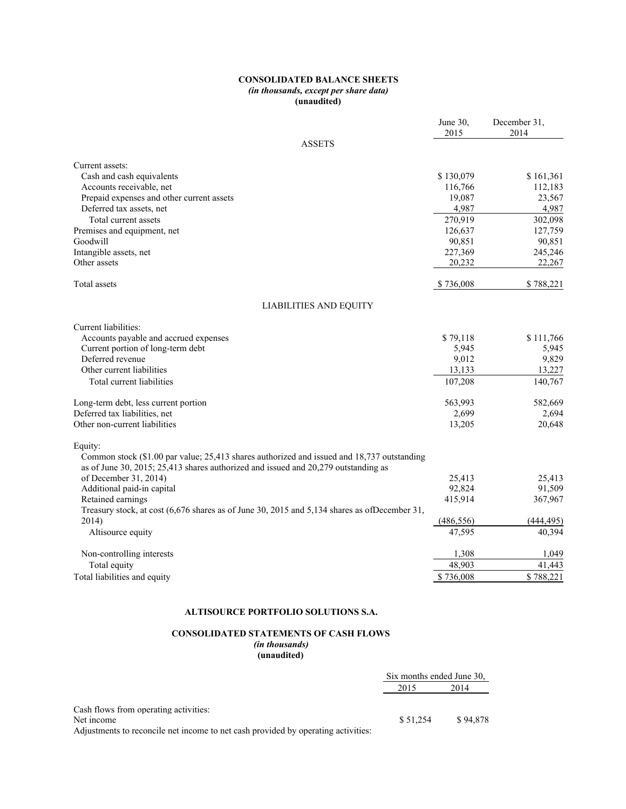#### **CONSOLIDATED BALANCE SHEETS** *(in thousands, except per share data)* **(unaudited)**

|                                                                                                                                                                                  | June 30.<br>2015 | December 31.<br>2014 |
|----------------------------------------------------------------------------------------------------------------------------------------------------------------------------------|------------------|----------------------|
| <b>ASSETS</b>                                                                                                                                                                    |                  |                      |
| Current assets:                                                                                                                                                                  |                  |                      |
| Cash and cash equivalents                                                                                                                                                        | \$130,079        | \$161,361            |
| Accounts receivable, net                                                                                                                                                         | 116,766          | 112,183              |
| Prepaid expenses and other current assets                                                                                                                                        | 19,087           | 23,567               |
| Deferred tax assets, net                                                                                                                                                         | 4,987            | 4,987                |
| Total current assets                                                                                                                                                             | 270,919          | 302,098              |
| Premises and equipment, net                                                                                                                                                      | 126,637          | 127,759              |
| Goodwill                                                                                                                                                                         | 90,851           | 90,851               |
| Intangible assets, net                                                                                                                                                           | 227,369          | 245,246              |
| Other assets                                                                                                                                                                     | 20,232           | 22,267               |
| Total assets                                                                                                                                                                     | \$736,008        | \$788,221            |
| <b>LIABILITIES AND EQUITY</b>                                                                                                                                                    |                  |                      |
| Current liabilities:                                                                                                                                                             |                  |                      |
| Accounts payable and accrued expenses                                                                                                                                            | \$79,118         | \$111,766            |
| Current portion of long-term debt                                                                                                                                                | 5,945            | 5,945                |
| Deferred revenue                                                                                                                                                                 | 9,012            | 9,829                |
| Other current liabilities                                                                                                                                                        | 13,133           | 13,227               |
| Total current liabilities                                                                                                                                                        | 107,208          | 140,767              |
| Long-term debt, less current portion                                                                                                                                             | 563,993          | 582,669              |
| Deferred tax liabilities, net                                                                                                                                                    | 2,699            | 2,694                |
| Other non-current liabilities                                                                                                                                                    | 13,205           | 20,648               |
| Equity:                                                                                                                                                                          |                  |                      |
| Common stock (\$1.00 par value; 25,413 shares authorized and issued and 18,737 outstanding<br>as of June 30, 2015; 25,413 shares authorized and issued and 20,279 outstanding as |                  |                      |
| of December 31, 2014)                                                                                                                                                            | 25,413           | 25,413               |
| Additional paid-in capital                                                                                                                                                       | 92,824           | 91,509               |
| Retained earnings                                                                                                                                                                | 415,914          | 367,967              |
| Treasury stock, at cost (6,676 shares as of June 30, 2015 and 5,134 shares as ofDecember 31,                                                                                     |                  |                      |
| 2014)                                                                                                                                                                            | (486, 556)       | (444, 495)           |
| Altisource equity                                                                                                                                                                | 47,595           | 40,394               |
| Non-controlling interests                                                                                                                                                        | 1,308            | 1,049                |
| Total equity                                                                                                                                                                     | 48,903           | 41,443               |
| Total liabilities and equity                                                                                                                                                     | \$736,008        | \$788,221            |

#### **ALTISOURCE PORTFOLIO SOLUTIONS S.A.**

#### **CONSOLIDATED STATEMENTS OF CASH FLOWS** *(in thousands)*

**(unaudited)**

|                                                                                   | Six months ended June 30. |          |  |
|-----------------------------------------------------------------------------------|---------------------------|----------|--|
|                                                                                   | 2015                      | 2014     |  |
| Cash flows from operating activities:                                             |                           |          |  |
| Net income                                                                        | \$ 51.254                 | \$94.878 |  |
| Adjustments to reconcile net income to net cash provided by operating activities: |                           |          |  |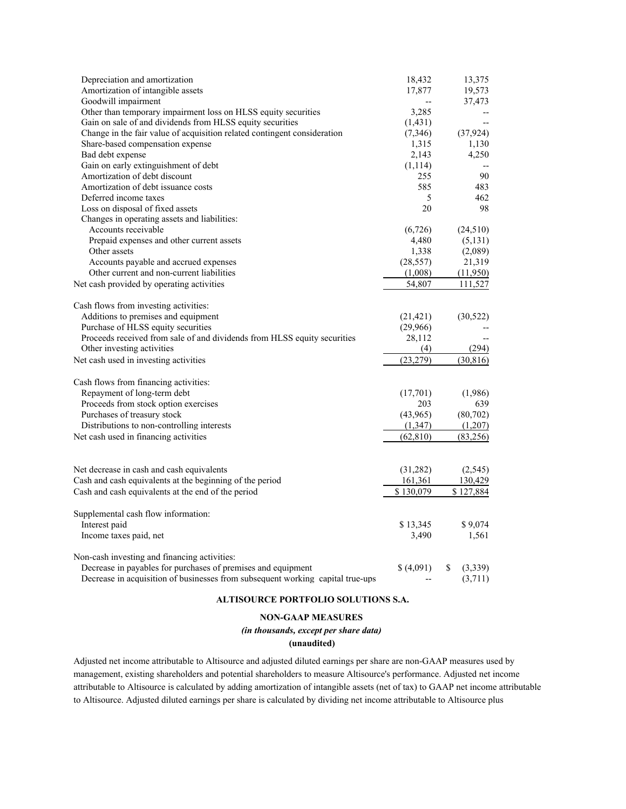| Depreciation and amortization                                                  | 18,432    | 13,375        |
|--------------------------------------------------------------------------------|-----------|---------------|
| Amortization of intangible assets                                              | 17,877    | 19,573        |
| Goodwill impairment                                                            |           | 37,473        |
| Other than temporary impairment loss on HLSS equity securities                 | 3,285     |               |
| Gain on sale of and dividends from HLSS equity securities                      | (1, 431)  |               |
| Change in the fair value of acquisition related contingent consideration       | (7,346)   | (37, 924)     |
| Share-based compensation expense                                               | 1,315     | 1,130         |
| Bad debt expense                                                               | 2,143     | 4,250         |
| Gain on early extinguishment of debt                                           | (1, 114)  |               |
| Amortization of debt discount                                                  | 255       | 90            |
| Amortization of debt issuance costs                                            | 585       | 483           |
| Deferred income taxes                                                          | 5         | 462           |
| Loss on disposal of fixed assets                                               | 20        | 98            |
| Changes in operating assets and liabilities:                                   |           |               |
| Accounts receivable                                                            | (6, 726)  | (24, 510)     |
| Prepaid expenses and other current assets                                      | 4,480     | (5, 131)      |
| Other assets                                                                   | 1,338     | (2,089)       |
| Accounts payable and accrued expenses                                          | (28, 557) | 21,319        |
| Other current and non-current liabilities                                      | (1,008)   | (11,950)      |
| Net cash provided by operating activities                                      | 54.807    | 111.527       |
| Cash flows from investing activities:                                          |           |               |
| Additions to premises and equipment                                            | (21, 421) | (30, 522)     |
| Purchase of HLSS equity securities                                             | (29,966)  |               |
| Proceeds received from sale of and dividends from HLSS equity securities       | 28,112    |               |
| Other investing activities                                                     | (4)       | (294)         |
| Net cash used in investing activities                                          | (23, 279) | (30, 816)     |
| Cash flows from financing activities:                                          |           |               |
| Repayment of long-term debt                                                    | (17,701)  | (1,986)       |
| Proceeds from stock option exercises                                           | 203       | 639           |
| Purchases of treasury stock                                                    | (43,965)  | (80, 702)     |
| Distributions to non-controlling interests                                     | (1, 347)  | (1,207)       |
| Net cash used in financing activities                                          | (62, 810) | (83,256)      |
|                                                                                |           |               |
| Net decrease in cash and cash equivalents                                      | (31, 282) | (2,545)       |
| Cash and cash equivalents at the beginning of the period                       | 161,361   | 130,429       |
| Cash and cash equivalents at the end of the period                             | \$130,079 | \$127,884     |
| Supplemental cash flow information:                                            |           |               |
| Interest paid                                                                  | \$13,345  | \$9,074       |
| Income taxes paid, net                                                         | 3,490     | 1,561         |
| Non-cash investing and financing activities:                                   |           |               |
| Decrease in payables for purchases of premises and equipment                   | \$(4,091) | \$<br>(3,339) |
| Decrease in acquisition of businesses from subsequent working capital true-ups |           | (3,711)       |

#### **ALTISOURCE PORTFOLIO SOLUTIONS S.A.**

#### **NONGAAP MEASURES**

*(in thousands, except per share data)*

#### **(unaudited)**

Adjusted net income attributable to Altisource and adjusted diluted earnings per share are non-GAAP measures used by management, existing shareholders and potential shareholders to measure Altisource's performance. Adjusted net income attributable to Altisource is calculated by adding amortization of intangible assets (net of tax) to GAAP net income attributable to Altisource. Adjusted diluted earnings per share is calculated by dividing net income attributable to Altisource plus